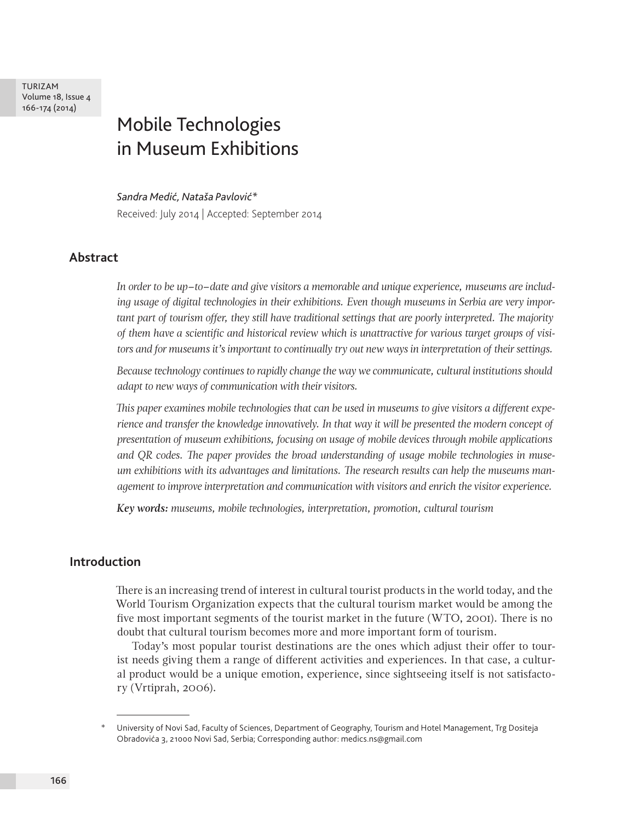TURIZAM Volume 18, Issue 4 166-174 (2014)

# Mobile Technologies in Museum Exhibitions

#### *Sandra Medić, Nataša Pavlović\**

Received: July 2014 | Accepted: September 2014

#### **Abstract**

*In order to be up–to–date and give visitors a memorable and unique experience, museums are including usage of digital technologies in their exhibitions. Even though museums in Serbia are very important part of tourism offer, they still have traditional settings that are poorly interpreted. The majority of them have a scientific and historical review which is unattractive for various target groups of visitors and for museums it's important to continually try out new ways in interpretation of their settings.*

*Because technology continues to rapidly change the way we communicate, cultural institutions should adapt to new ways of communication with their visitors.*

*This paper examines mobile technologies that can be used in museums to give visitors a different experience and transfer the knowledge innovatively. In that way it will be presented the modern concept of presentation of museum exhibitions, focusing on usage of mobile devices through mobile applications and QR codes. The paper provides the broad understanding of usage mobile technologies in museum exhibitions with its advantages and limitations. The research results can help the museums management to improve interpretation and communication with visitors and enrich the visitor experience.*

*Key words: museums, mobile technologies, interpretation, promotion, cultural tourism*

#### **Introduction**

There is an increasing trend of interest in cultural tourist products in the world today, and the World Tourism Organization expects that the cultural tourism market would be among the five most important segments of the tourist market in the future (WTO, 2001). There is no doubt that cultural tourism becomes more and more important form of tourism.

Today's most popular tourist destinations are the ones which adjust their offer to tourist needs giving them a range of different activities and experiences. In that case, a cultural product would be a unique emotion, experience, since sightseeing itself is not satisfactory (Vrtiprah, 2006).

University of Novi Sad, Faculty of Sciences, Department of Geography, Tourism and Hotel Management, Trg Dositeja Obradovića 3, 21000 Novi Sad, Serbia; Corresponding author: medics.ns@gmail.com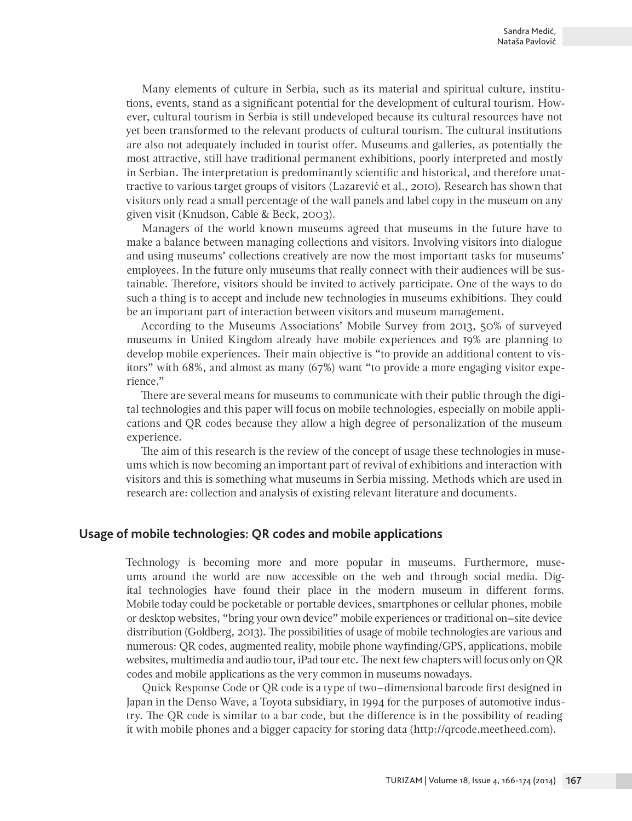Many elements of culture in Serbia, such as its material and spiritual culture, institutions, events, stand as a significant potential for the development of cultural tourism. However, cultural tourism in Serbia is still undeveloped because its cultural resources have not yet been transformed to the relevant products of cultural tourism. The cultural institutions are also not adequately included in tourist offer. Museums and galleries, as potentially the most attractive, still have traditional permanent exhibitions, poorly interpreted and mostly in Serbian. The interpretation is predominantly scientific and historical, and therefore unattractive to various target groups of visitors (Lazarević et al., 2010). Research has shown that visitors only read a small percentage of the wall panels and label copy in the museum on any given visit (Knudson, Cable & Beck, 2003).

Managers of the world known museums agreed that museums in the future have to make a balance between managing collections and visitors. Involving visitors into dialogue and using museums' collections creatively are now the most important tasks for museums' employees. In the future only museums that really connect with their audiences will be sustainable. Therefore, visitors should be invited to actively participate. One of the ways to do such a thing is to accept and include new technologies in museums exhibitions. They could be an important part of interaction between visitors and museum management.

According to the Museums Associations' Mobile Survey from 2013, 50% of surveyed museums in United Kingdom already have mobile experiences and 19% are planning to develop mobile experiences. Their main objective is "to provide an additional content to visitors" with 68%, and almost as many (67%) want "to provide a more engaging visitor experience."

There are several means for museums to communicate with their public through the digital technologies and this paper will focus on mobile technologies, especially on mobile applications and QR codes because they allow a high degree of personalization of the museum experience.

The aim of this research is the review of the concept of usage these technologies in museums which is now becoming an important part of revival of exhibitions and interaction with visitors and this is something what museums in Serbia missing. Methods which are used in research are: collection and analysis of existing relevant literature and documents.

#### **Usage of mobile technologies: QR codes and mobile applications**

Technology is becoming more and more popular in museums. Furthermore, museums around the world are now accessible on the web and through social media. Digital technologies have found their place in the modern museum in different forms. Mobile today could be pocketable or portable devices, smartphones or cellular phones, mobile or desktop websites, "bring your own device" mobile experiences or traditional on–site device distribution (Goldberg, 2013). The possibilities of usage of mobile technologies are various and numerous: QR codes, augmented reality, mobile phone wayfinding/GPS, applications, mobile websites, multimedia and audio tour, iPad tour etc. The next few chapters will focus only on QR codes and mobile applications as the very common in museums nowadays.

Quick Response Code or QR code is a type of two–dimensional barcode first designed in Japan in the Denso Wave, a Toyota subsidiary, in 1994 for the purposes of automotive industry. The QR code is similar to a bar code, but the difference is in the possibility of reading it with mobile phones and a bigger capacity for storing data (http://qrcode.meetheed.com).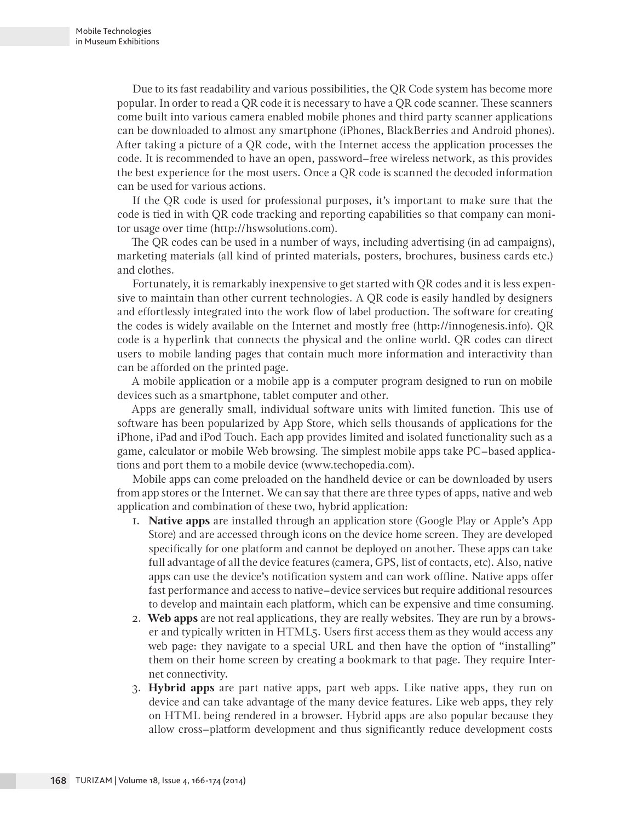Due to its fast readability and various possibilities, the QR Code system has become more popular. In order to read a QR code it is necessary to have a QR code scanner. These scanners come built into various camera enabled mobile phones and third party scanner applications can be downloaded to almost any smartphone (iPhones, BlackBerries and Android phones). After taking a picture of a QR code, with the Internet access the application processes the code. It is recommended to have an open, password–free wireless network, as this provides the best experience for the most users. Once a QR code is scanned the decoded information can be used for various actions.

If the QR code is used for professional purposes, it's important to make sure that the code is tied in with QR code tracking and reporting capabilities so that company can monitor usage over time (http://hswsolutions.com).

The QR codes can be used in a number of ways, including advertising (in ad campaigns), marketing materials (all kind of printed materials, posters, brochures, business cards etc.) and clothes.

Fortunately, it is remarkably inexpensive to get started with QR codes and it is less expensive to maintain than other current technologies. A QR code is easily handled by designers and effortlessly integrated into the work flow of label production. The software for creating the codes is widely available on the Internet and mostly free (http://innogenesis.info). QR code is a hyperlink that connects the physical and the online world. QR codes can direct users to mobile landing pages that contain much more information and interactivity than can be afforded on the printed page.

A mobile application or a mobile app is a computer program designed to run on mobile devices such as a smartphone, tablet computer and other.

Apps are generally small, individual software units with limited function. This use of software has been popularized by App Store, which sells thousands of applications for the iPhone, iPad and iPod Touch. Each app provides limited and isolated functionality such as a game, calculator or mobile Web browsing. The simplest mobile apps take PC–based applications and port them to a mobile device (www.techopedia.com).

Mobile apps can come preloaded on the handheld device or can be downloaded by users from app stores or the Internet. We can say that there are three types of apps, native and web application and combination of these two, hybrid application:

- 1. **Native apps** are installed through an application store (Google Play or Apple's App Store) and are accessed through icons on the device home screen. They are developed specifically for one platform and cannot be deployed on another. These apps can take full advantage of all the device features (camera, GPS, list of contacts, etc). Also, native apps can use the device's notification system and can work offline. Native apps offer fast performance and access to native–device services but require additional resources to develop and maintain each platform, which can be expensive and time consuming.
- 2. **Web apps** are not real applications, they are really websites. They are run by a browser and typically written in HTML5. Users first access them as they would access any web page: they navigate to a special URL and then have the option of "installing" them on their home screen by creating a bookmark to that page. They require Internet connectivity.
- 3. **Hybrid apps** are part native apps, part web apps. Like native apps, they run on device and can take advantage of the many device features. Like web apps, they rely on HTML being rendered in a browser. Hybrid apps are also popular because they allow cross–platform development and thus significantly reduce development costs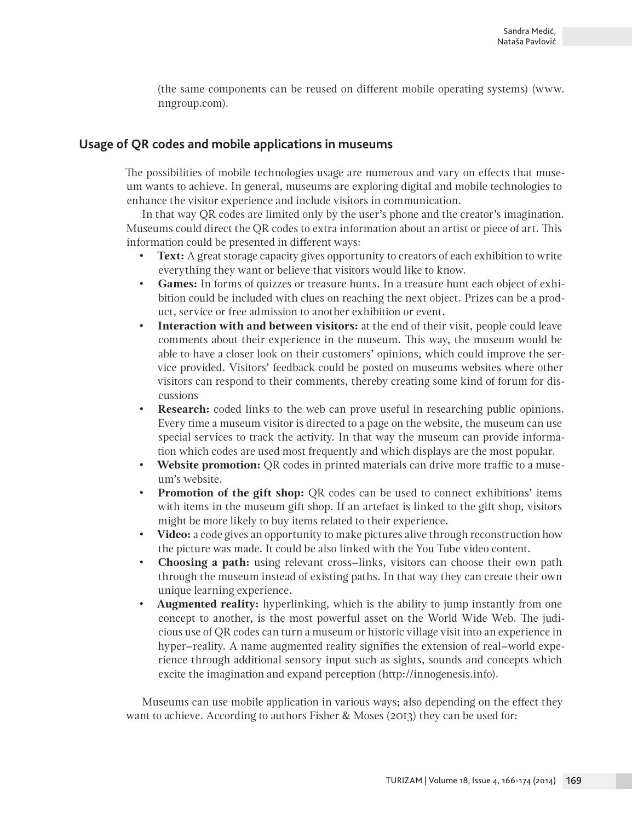(the same components can be reused on different mobile operating systems) (www. nngroup.com).

## **Usage of QR codes and mobile applications in museums**

The possibilities of mobile technologies usage are numerous and vary on effects that museum wants to achieve. In general, museums are exploring digital and mobile technologies to enhance the visitor experience and include visitors in communication.

In that way QR codes are limited only by the user's phone and the creator's imagination. Museums could direct the QR codes to extra information about an artist or piece of art. This information could be presented in different ways:

- **Text:** A great storage capacity gives opportunity to creators of each exhibition to write everything they want or believe that visitors would like to know.
- **Games:** In forms of quizzes or treasure hunts. In a treasure hunt each object of exhibition could be included with clues on reaching the next object. Prizes can be a product, service or free admission to another exhibition or event.
- **Interaction with and between visitors:** at the end of their visit, people could leave comments about their experience in the museum. This way, the museum would be able to have a closer look on their customers' opinions, which could improve the service provided. Visitors' feedback could be posted on museums websites where other visitors can respond to their comments, thereby creating some kind of forum for discussions
- **Research:** coded links to the web can prove useful in researching public opinions. Every time a museum visitor is directed to a page on the website, the museum can use special services to track the activity. In that way the museum can provide information which codes are used most frequently and which displays are the most popular.
- **Website promotion:** QR codes in printed materials can drive more traffic to a museum's website.
- **Promotion of the gift shop:** QR codes can be used to connect exhibitions' items with items in the museum gift shop. If an artefact is linked to the gift shop, visitors might be more likely to buy items related to their experience.
- **Video:** a code gives an opportunity to make pictures alive through reconstruction how the picture was made. It could be also linked with the You Tube video content.
- **Choosing a path:** using relevant cross–links, visitors can choose their own path through the museum instead of existing paths. In that way they can create their own unique learning experience.
- **Augmented reality:** hyperlinking, which is the ability to jump instantly from one concept to another, is the most powerful asset on the World Wide Web. The judicious use of QR codes can turn a museum or historic village visit into an experience in hyper–reality. A name augmented reality signifies the extension of real–world experience through additional sensory input such as sights, sounds and concepts which excite the imagination and expand perception (http://innogenesis.info).

Museums can use mobile application in various ways; also depending on the effect they want to achieve. According to authors Fisher & Moses (2013) they can be used for: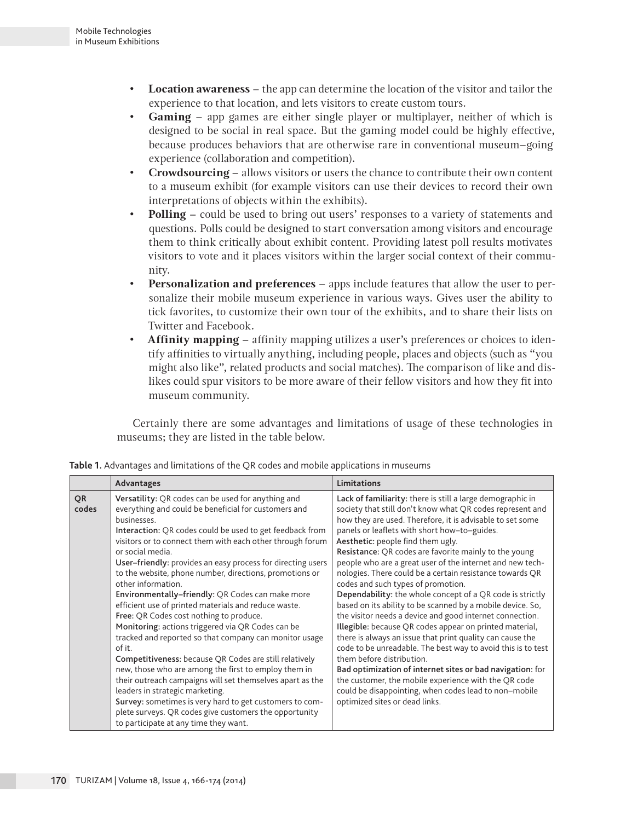- **Location awareness**  the app can determine the location of the visitor and tailor the experience to that location, and lets visitors to create custom tours.
- **Gaming** app games are either single player or multiplayer, neither of which is designed to be social in real space. But the gaming model could be highly effective, because produces behaviors that are otherwise rare in conventional museum–going experience (collaboration and competition).
- **Crowdsourcing** allows visitors or users the chance to contribute their own content to a museum exhibit (for example visitors can use their devices to record their own interpretations of objects within the exhibits).
- **Polling** could be used to bring out users' responses to a variety of statements and questions. Polls could be designed to start conversation among visitors and encourage them to think critically about exhibit content. Providing latest poll results motivates visitors to vote and it places visitors within the larger social context of their community.
- **Personalization and preferences** apps include features that allow the user to personalize their mobile museum experience in various ways. Gives user the ability to tick favorites, to customize their own tour of the exhibits, and to share their lists on Twitter and Facebook.
- **Affinity mapping** affinity mapping utilizes a user's preferences or choices to identify affinities to virtually anything, including people, places and objects (such as "you might also like", related products and social matches). The comparison of like and dislikes could spur visitors to be more aware of their fellow visitors and how they fit into museum community.

Certainly there are some advantages and limitations of usage of these technologies in museums; they are listed in the table below.

|                    | Advantages                                                                                                                                                                                                                                                                                                                                                                                                                                                                                                                                                                                                                                                                                                                                                                                                                                                                                                                                                                                                                                                                             | Limitations                                                                                                                                                                                                                                                                                                                                                                                                                                                                                                                                                                                                                                                                                                                                                                                                                                                                                                                                                                                                                                                                                                                   |
|--------------------|----------------------------------------------------------------------------------------------------------------------------------------------------------------------------------------------------------------------------------------------------------------------------------------------------------------------------------------------------------------------------------------------------------------------------------------------------------------------------------------------------------------------------------------------------------------------------------------------------------------------------------------------------------------------------------------------------------------------------------------------------------------------------------------------------------------------------------------------------------------------------------------------------------------------------------------------------------------------------------------------------------------------------------------------------------------------------------------|-------------------------------------------------------------------------------------------------------------------------------------------------------------------------------------------------------------------------------------------------------------------------------------------------------------------------------------------------------------------------------------------------------------------------------------------------------------------------------------------------------------------------------------------------------------------------------------------------------------------------------------------------------------------------------------------------------------------------------------------------------------------------------------------------------------------------------------------------------------------------------------------------------------------------------------------------------------------------------------------------------------------------------------------------------------------------------------------------------------------------------|
| <b>OR</b><br>codes | Versatility: QR codes can be used for anything and<br>everything and could be beneficial for customers and<br>businesses.<br>Interaction: QR codes could be used to get feedback from<br>visitors or to connect them with each other through forum<br>or social media.<br>User-friendly: provides an easy process for directing users<br>to the website, phone number, directions, promotions or<br>other information.<br>Environmentally-friendly: QR Codes can make more<br>efficient use of printed materials and reduce waste.<br>Free: QR Codes cost nothing to produce.<br>Monitoring: actions triggered via QR Codes can be<br>tracked and reported so that company can monitor usage<br>of it.<br>Competitiveness: because QR Codes are still relatively<br>new, those who are among the first to employ them in<br>their outreach campaigns will set themselves apart as the<br>leaders in strategic marketing.<br>Survey: sometimes is very hard to get customers to com-<br>plete surveys. QR codes give customers the opportunity<br>to participate at any time they want. | Lack of familiarity: there is still a large demographic in<br>society that still don't know what QR codes represent and<br>how they are used. Therefore, it is advisable to set some<br>panels or leaflets with short how-to-guides.<br>Aesthetic: people find them ugly.<br>Resistance: QR codes are favorite mainly to the young<br>people who are a great user of the internet and new tech-<br>nologies. There could be a certain resistance towards QR<br>codes and such types of promotion.<br>Dependability: the whole concept of a QR code is strictly<br>based on its ability to be scanned by a mobile device. So,<br>the visitor needs a device and good internet connection.<br>Illegible: because QR codes appear on printed material,<br>there is always an issue that print quality can cause the<br>code to be unreadable. The best way to avoid this is to test<br>them before distribution.<br>Bad optimization of internet sites or bad navigation: for<br>the customer, the mobile experience with the QR code<br>could be disappointing, when codes lead to non-mobile<br>optimized sites or dead links. |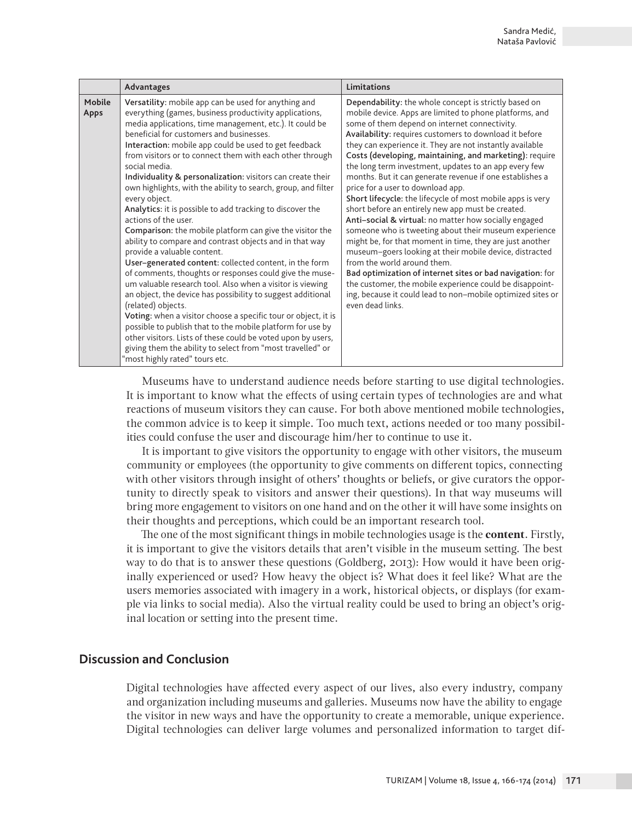|                | Advantages                                                                                                                                                                                                                                                                                                                                                                                                                                                                                                                                                                                                                                                                                                                                                                                                                                                                                                                                                                                                                                                                                                                                                                                                                                                                                                                    | Limitations                                                                                                                                                                                                                                                                                                                                                                                                                                                                                                                                                                                                                                                                                                                                                                                                                                                                                                                                                                                                                                                                                                         |
|----------------|-------------------------------------------------------------------------------------------------------------------------------------------------------------------------------------------------------------------------------------------------------------------------------------------------------------------------------------------------------------------------------------------------------------------------------------------------------------------------------------------------------------------------------------------------------------------------------------------------------------------------------------------------------------------------------------------------------------------------------------------------------------------------------------------------------------------------------------------------------------------------------------------------------------------------------------------------------------------------------------------------------------------------------------------------------------------------------------------------------------------------------------------------------------------------------------------------------------------------------------------------------------------------------------------------------------------------------|---------------------------------------------------------------------------------------------------------------------------------------------------------------------------------------------------------------------------------------------------------------------------------------------------------------------------------------------------------------------------------------------------------------------------------------------------------------------------------------------------------------------------------------------------------------------------------------------------------------------------------------------------------------------------------------------------------------------------------------------------------------------------------------------------------------------------------------------------------------------------------------------------------------------------------------------------------------------------------------------------------------------------------------------------------------------------------------------------------------------|
| Mobile<br>Apps | Versatility: mobile app can be used for anything and<br>everything (games, business productivity applications,<br>media applications, time management, etc.). It could be<br>beneficial for customers and businesses.<br>Interaction: mobile app could be used to get feedback<br>from visitors or to connect them with each other through<br>social media.<br>Individuality & personalization: visitors can create their<br>own highlights, with the ability to search, group, and filter<br>every object.<br>Analytics: it is possible to add tracking to discover the<br>actions of the user.<br>Comparison: the mobile platform can give the visitor the<br>ability to compare and contrast objects and in that way<br>provide a valuable content.<br>User-generated content: collected content, in the form<br>of comments, thoughts or responses could give the muse-<br>um valuable research tool. Also when a visitor is viewing<br>an object, the device has possibility to suggest additional<br>(related) objects.<br>Voting: when a visitor choose a specific tour or object, it is<br>possible to publish that to the mobile platform for use by<br>other visitors. Lists of these could be voted upon by users,<br>giving them the ability to select from "most travelled" or<br>"most highly rated" tours etc. | Dependability: the whole concept is strictly based on<br>mobile device. Apps are limited to phone platforms, and<br>some of them depend on internet connectivity.<br>Availability: requires customers to download it before<br>they can experience it. They are not instantly available<br>Costs (developing, maintaining, and marketing): require<br>the long term investment, updates to an app every few<br>months. But it can generate revenue if one establishes a<br>price for a user to download app.<br>Short lifecycle: the lifecycle of most mobile apps is very<br>short before an entirely new app must be created.<br>Anti-social & virtual: no matter how socially engaged<br>someone who is tweeting about their museum experience<br>might be, for that moment in time, they are just another<br>museum-goers looking at their mobile device, distracted<br>from the world around them.<br>Bad optimization of internet sites or bad navigation: for<br>the customer, the mobile experience could be disappoint-<br>ing, because it could lead to non-mobile optimized sites or<br>even dead links. |

Museums have to understand audience needs before starting to use digital technologies. It is important to know what the effects of using certain types of technologies are and what reactions of museum visitors they can cause. For both above mentioned mobile technologies, the common advice is to keep it simple. Too much text, actions needed or too many possibilities could confuse the user and discourage him/her to continue to use it.

It is important to give visitors the opportunity to engage with other visitors, the museum community or employees (the opportunity to give comments on different topics, connecting with other visitors through insight of others' thoughts or beliefs, or give curators the opportunity to directly speak to visitors and answer their questions). In that way museums will bring more engagement to visitors on one hand and on the other it will have some insights on their thoughts and perceptions, which could be an important research tool.

The one of the most significant things in mobile technologies usage is the **content**. Firstly, it is important to give the visitors details that aren't visible in the museum setting. The best way to do that is to answer these questions (Goldberg, 2013): How would it have been originally experienced or used? How heavy the object is? What does it feel like? What are the users memories associated with imagery in a work, historical objects, or displays (for example via links to social media). Also the virtual reality could be used to bring an object's original location or setting into the present time.

#### **Discussion and Conclusion**

Digital technologies have affected every aspect of our lives, also every industry, company and organization including museums and galleries. Museums now have the ability to engage the visitor in new ways and have the opportunity to create a memorable, unique experience. Digital technologies can deliver large volumes and personalized information to target dif-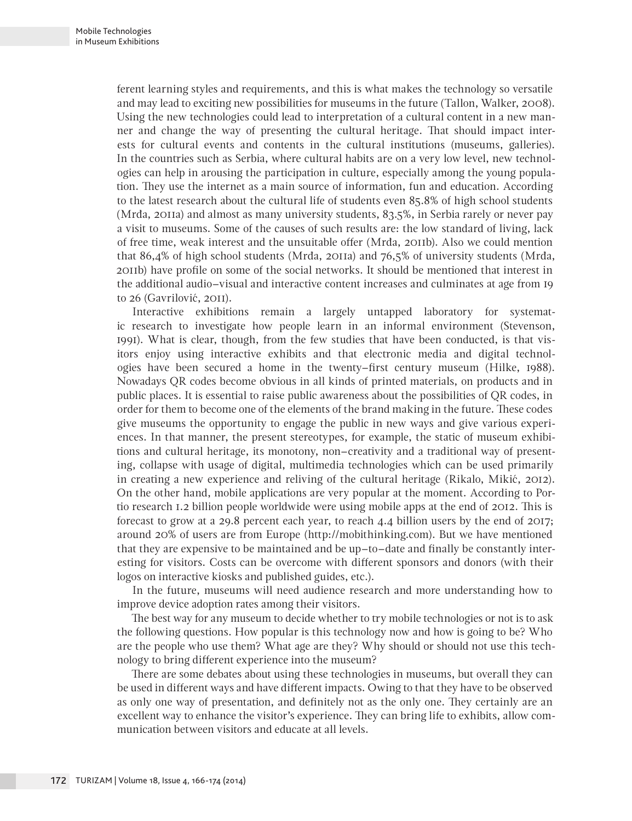ferent learning styles and requirements, and this is what makes the technology so versatile and may lead to exciting new possibilities for museums in the future (Tallon, Walker, 2008). Using the new technologies could lead to interpretation of a cultural content in a new manner and change the way of presenting the cultural heritage. That should impact interests for cultural events and contents in the cultural institutions (museums, galleries). In the countries such as Serbia, where cultural habits are on a very low level, new technologies can help in arousing the participation in culture, especially among the young population. They use the internet as a main source of information, fun and education. According to the latest research about the cultural life of students even 85.8% of high school students (Mrđa, 2011a) and almost as many university students, 83.5%, in Serbia rarely or never pay a visit to museums. Some of the causes of such results are: the low standard of living, lack of free time, weak interest and the unsuitable offer (Mrđa, 2011b). Also we could mention that 86,4% of high school students (Mrđa, 2011a) and 76,5% of university students (Mrđa, 2011b) have profile on some of the social networks. It should be mentioned that interest in the additional audio–visual and interactive content increases and culminates at age from 19 to 26 (Gavrilović, 2011).

Interactive exhibitions remain a largely untapped laboratory for systematic research to investigate how people learn in an informal environment (Stevenson, 1991). What is clear, though, from the few studies that have been conducted, is that visitors enjoy using interactive exhibits and that electronic media and digital technologies have been secured a home in the twenty–first century museum (Hilke, 1988). Nowadays QR codes become obvious in all kinds of printed materials, on products and in public places. It is essential to raise public awareness about the possibilities of QR codes, in order for them to become one of the elements of the brand making in the future. These codes give museums the opportunity to engage the public in new ways and give various experiences. In that manner, the present stereotypes, for example, the static of museum exhibitions and cultural heritage, its monotony, non–creativity and a traditional way of presenting, collapse with usage of digital, multimedia technologies which can be used primarily in creating a new experience and reliving of the cultural heritage (Rikalo, Mikić, 2012). On the other hand, mobile applications are very popular at the moment. According to Portio research 1.2 billion people worldwide were using mobile apps at the end of 2012. This is forecast to grow at a 29.8 percent each year, to reach 4.4 billion users by the end of 2017; around 20% of users are from Europe (http://mobithinking.com). But we have mentioned that they are expensive to be maintained and be up–to–date and finally be constantly interesting for visitors. Costs can be overcome with different sponsors and donors (with their logos on interactive kiosks and published guides, etc.).

In the future, museums will need audience research and more understanding how to improve device adoption rates among their visitors.

The best way for any museum to decide whether to try mobile technologies or not is to ask the following questions. How popular is this technology now and how is going to be? Who are the people who use them? What age are they? Why should or should not use this technology to bring different experience into the museum?

There are some debates about using these technologies in museums, but overall they can be used in different ways and have different impacts. Owing to that they have to be observed as only one way of presentation, and definitely not as the only one. They certainly are an excellent way to enhance the visitor's experience. They can bring life to exhibits, allow communication between visitors and educate at all levels.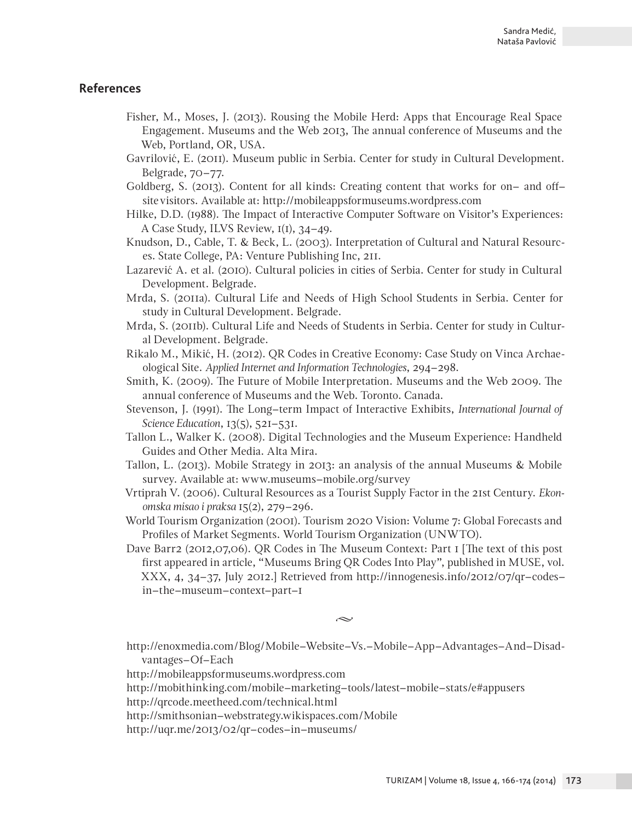### **References**

- Fisher, M., Moses, J. (2013). Rousing the Mobile Herd: Apps that Encourage Real Space Engagement. Museums and the Web 2013, The annual conference of Museums and the Web, Portland, OR, USA.
- Gavrilović, E. (2011). Museum public in Serbia. Center for study in Cultural Development. Belgrade, 70–77.
- Goldberg, S. (2013). Content for all kinds: Creating content that works for on– and off– site visitors. Available at: http://mobileappsformuseums.wordpress.com
- Hilke, D.D. (1988). The Impact of Interactive Computer Software on Visitor's Experiences: A Case Study, ILVS Review, 1(1), 34–49.
- Knudson, D., Cable, T. & Beck, L. (2003). Interpretation of Cultural and Natural Resources. State College, PA: Venture Publishing Inc, 211.
- Lazarević A. et al. (2010). Cultural policies in cities of Serbia. Center for study in Cultural Development. Belgrade.
- Mrđa, S. (2011a). Cultural Life and Needs of High School Students in Serbia. Center for study in Cultural Development. Belgrade.
- Mrđa, S. (2011b). Cultural Life and Needs of Students in Serbia. Center for study in Cultural Development. Belgrade.
- Rikalo M., Mikić, H. (2012). QR Codes in Creative Economy: Case Study on Vinca Archaeological Site. *Applied Internet and Information Technologies*, 294–298.
- Smith, K. (2009). The Future of Mobile Interpretation. Museums and the Web 2009. The annual conference of Museums and the Web. Toronto. Canada.
- Stevenson, J. (1991). The Long–term Impact of Interactive Exhibits, *International Journal of Science Education*, 13(5), 521–531.
- Tallon L., Walker K. (2008). Digital Technologies and the Museum Experience: Handheld Guides and Other Media. Alta Mira.
- Tallon, L. (2013). Mobile Strategy in 2013: an analysis of the annual Museums & Mobile survey. Available at: www.museums–mobile.org/survey
- Vrtiprah V. (2006). Cultural Resources as a Tourist Supply Factor in the 21st Century. *Ekonomska misao i praksa* 15(2), 279–296.
- World Tourism Organization (2001). Tourism 2020 Vision: Volume 7: Global Forecasts and Profiles of Market Segments. World Tourism Organization (UNWTO).
- Dave Barr2 (2012,07,06). QR Codes in The Museum Context: Part 1 [The text of this post first appeared in article, "Museums Bring QR Codes Into Play", published in MUSE, vol. XXX, 4, 34–37, July 2012.] Retrieved from http://innogenesis.info/2012/07/qr–codes– in–the–museum–context–part–1

 $\sim$ 

http://enoxmedia.com/Blog/Mobile–Website–Vs.–Mobile–App–Advantages–And–Disadvantages–Of–Each

http://mobileappsformuseums.wordpress.com

http://mobithinking.com/mobile–marketing–tools/latest–mobile–stats/e#appusers

http://qrcode.meetheed.com/technical.html

http://smithsonian–webstrategy.wikispaces.com/Mobile

http://uqr.me/2013/02/qr–codes–in–museums/